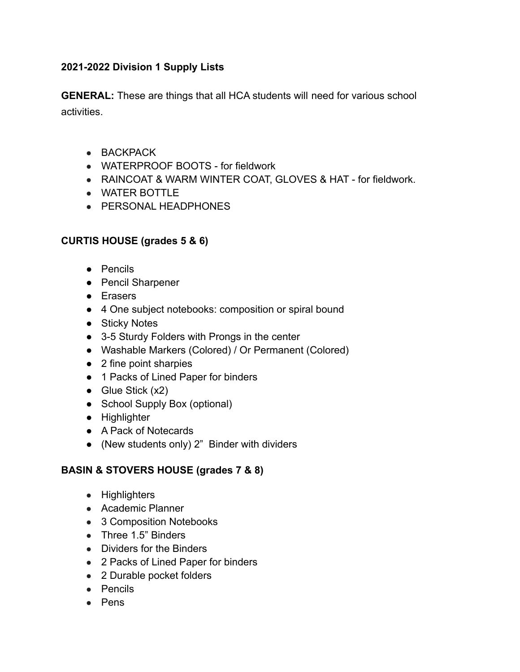## **2021-2022 Division 1 Supply Lists**

**GENERAL:** These are things that all HCA students will need for various school activities.

- $\bullet$  BACKPACK
- $\bullet$  WATERPROOF BOOTS for fieldwork
- RAINCOAT & WARM WINTER COAT, GLOVES & HAT for fieldwork.
- WATER BOTTLE
- PERSONAL HEADPHONES

## **CURTIS HOUSE (grades 5 & 6)**

- Pencils
- Pencil Sharpener
- Erasers
- 4 One subject notebooks: composition or spiral bound
- Sticky Notes
- 3-5 Sturdy Folders with Prongs in the center
- Washable Markers (Colored) / Or Permanent (Colored)
- 2 fine point sharpies
- 1 Packs of Lined Paper for binders
- $\bullet$  Glue Stick (x2)
- School Supply Box (optional)
- Highlighter
- A Pack of Notecards
- (New students only) 2" Binder with dividers

## **BASIN & STOVERS HOUSE (grades 7 & 8)**

- Highlighters
- Academic Planner
- 3 Composition Notebooks
- Three 1.5" Binders
- Dividers for the Binders
- 2 Packs of Lined Paper for binders
- 2 Durable pocket folders
- Pencils
- Pens